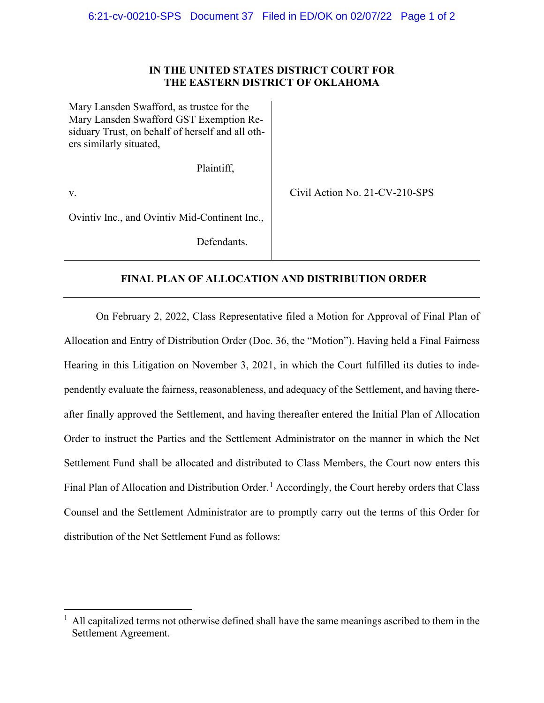## **IN THE UNITED STATES DISTRICT COURT FOR THE EASTERN DISTRICT OF OKLAHOMA**

| Mary Lansden Swafford, as trustee for the<br>Mary Lansden Swafford GST Exemption Re-<br>siduary Trust, on behalf of herself and all oth-<br>ers similarly situated, |                                |
|---------------------------------------------------------------------------------------------------------------------------------------------------------------------|--------------------------------|
| Plaintiff,                                                                                                                                                          |                                |
| V.                                                                                                                                                                  | Civil Action No. 21-CV-210-SPS |
| Ovintiv Inc., and Ovintiv Mid-Continent Inc.,                                                                                                                       |                                |
| Defendants.                                                                                                                                                         |                                |

## **FINAL PLAN OF ALLOCATION AND DISTRIBUTION ORDER**

On February 2, 2022, Class Representative filed a Motion for Approval of Final Plan of Allocation and Entry of Distribution Order (Doc. 36, the "Motion"). Having held a Final Fairness Hearing in this Litigation on November 3, 2021, in which the Court fulfilled its duties to independently evaluate the fairness, reasonableness, and adequacy of the Settlement, and having thereafter finally approved the Settlement, and having thereafter entered the Initial Plan of Allocation Order to instruct the Parties and the Settlement Administrator on the manner in which the Net Settlement Fund shall be allocated and distributed to Class Members, the Court now enters this Final Plan of Allocation and Distribution Order.<sup>[1](#page-0-0)</sup> Accordingly, the Court hereby orders that Class Counsel and the Settlement Administrator are to promptly carry out the terms of this Order for distribution of the Net Settlement Fund as follows:

<span id="page-0-0"></span> $<sup>1</sup>$  All capitalized terms not otherwise defined shall have the same meanings ascribed to them in the</sup> Settlement Agreement.